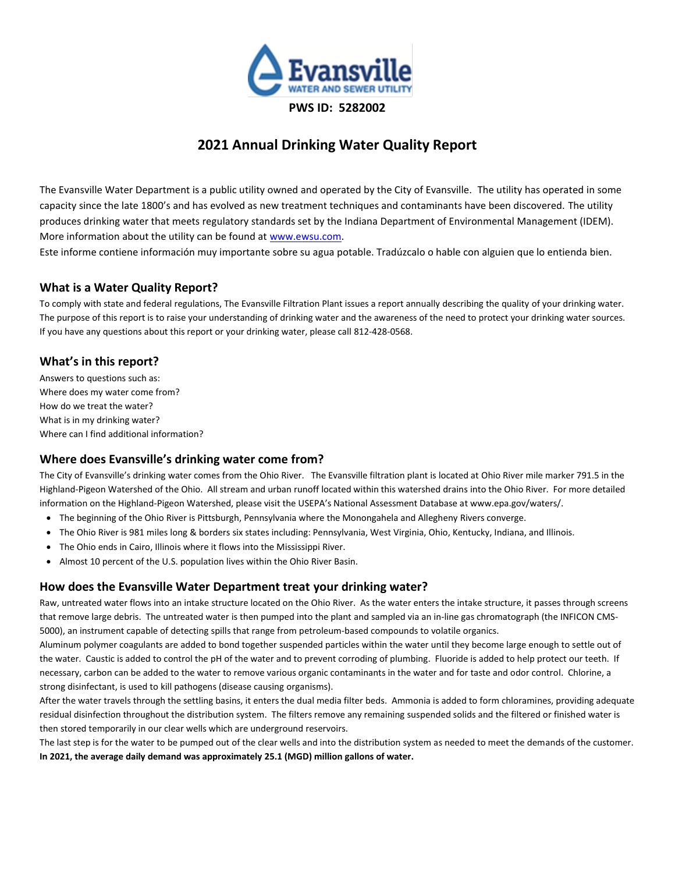

# **2021 Annual Drinking Water Quality Report**

The Evansville Water Department is a public utility owned and operated by the City of Evansville. The utility has operated in some capacity since the late 1800's and has evolved as new treatment techniques and contaminants have been discovered. The utility produces drinking water that meets regulatory standards set by the Indiana Department of Environmental Management (IDEM). More information about the utility can be found a[t www.ewsu.com.](http://www.ewsu.com/)

Este informe contiene información muy importante sobre su agua potable. Tradúzcalo o hable con alguien que lo entienda bien.

## **What is a Water Quality Report?**

To comply with state and federal regulations, The Evansville Filtration Plant issues a report annually describing the quality of your drinking water. The purpose of this report is to raise your understanding of drinking water and the awareness of the need to protect your drinking water sources. If you have any questions about this report or your drinking water, please call 812-428-0568.

### **What's in this report?**

Answers to questions such as: Where does my water come from? How do we treat the water? What is in my drinking water? Where can I find additional information?

### **Where does Evansville's drinking water come from?**

The City of Evansville's drinking water comes from the Ohio River. The Evansville filtration plant is located at Ohio River mile marker 791.5 in the Highland-Pigeon Watershed of the Ohio. All stream and urban runoff located within this watershed drains into the Ohio River. For more detailed information on the Highland-Pigeon Watershed, please visit the USEPA's National Assessment Database at www.epa.gov/waters/.

- The beginning of the Ohio River is Pittsburgh, Pennsylvania where the Monongahela and Allegheny Rivers converge.
- The Ohio River is 981 miles long & borders six states including: Pennsylvania, West Virginia, Ohio, Kentucky, Indiana, and Illinois.
- The Ohio ends in Cairo, Illinois where it flows into the Mississippi River.
- Almost 10 percent of the U.S. population lives within the Ohio River Basin.

### **How does the Evansville Water Department treat your drinking water?**

Raw, untreated water flows into an intake structure located on the Ohio River. As the water enters the intake structure, it passes through screens that remove large debris. The untreated water is then pumped into the plant and sampled via an in-line gas chromatograph (the INFICON CMS-5000), an instrument capable of detecting spills that range from petroleum-based compounds to volatile organics.

Aluminum polymer coagulants are added to bond together suspended particles within the water until they become large enough to settle out of the water. Caustic is added to control the pH of the water and to prevent corroding of plumbing. Fluoride is added to help protect our teeth. If necessary, carbon can be added to the water to remove various organic contaminants in the water and for taste and odor control. Chlorine, a strong disinfectant, is used to kill pathogens (disease causing organisms).

After the water travels through the settling basins, it enters the dual media filter beds. Ammonia is added to form chloramines, providing adequate residual disinfection throughout the distribution system. The filters remove any remaining suspended solids and the filtered or finished water is then stored temporarily in our clear wells which are underground reservoirs.

The last step is for the water to be pumped out of the clear wells and into the distribution system as needed to meet the demands of the customer. **In 2021, the average daily demand was approximately 25.1 (MGD) million gallons of water.**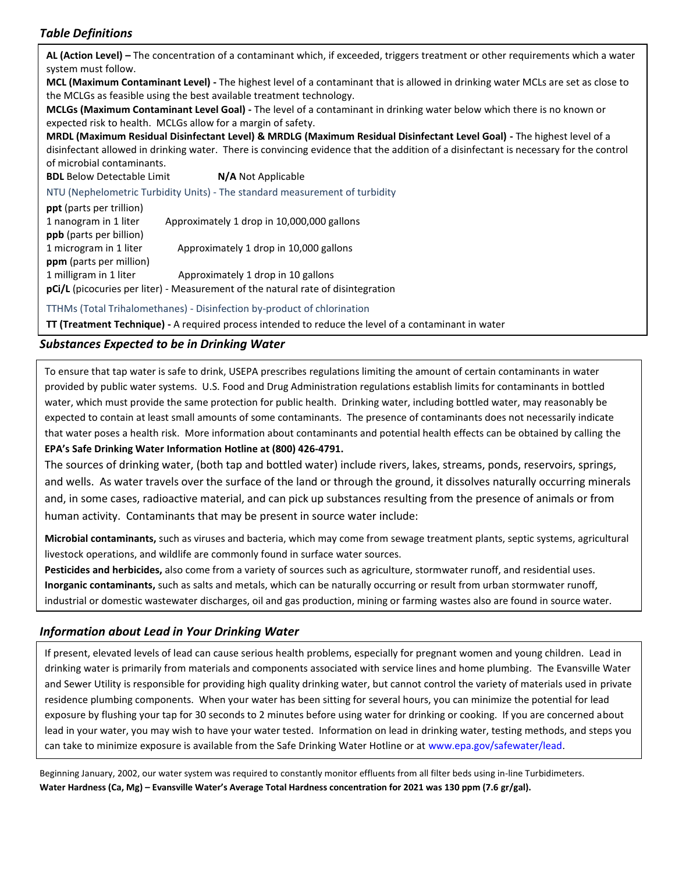## *Table Definitions*

**Information about Drinking Water School about 2018 AL (Action Level) –** The concentration of a contaminant which, if exceeded, triggers treatment or other requirements which a water system must follow. **MCL (Maximum Contaminant Level) -** The highest level of a contaminant that is allowed in drinking water MCLs are set as close to the MCLGs as feasible using the best available treatment technology. **MCLGs (Maximum Contaminant Level Goal) -** The level of a contaminant in drinking water below which there is no known or expected risk to health. MCLGs allow for a margin of safety. **MRDL (Maximum Residual Disinfectant Level) & MRDLG (Maximum Residual Disinfectant Level Goal) -** The highest level of a disinfectant allowed in drinking water. There is convincing evidence that the addition of a disinfectant is necessary for the control **BDL** Below Detectable Limit **N/A** Not Applicable NTU (Nephelometric Turbidity Units) - The standard measurement of turbidity **ppt** (parts per trillion) 1 nanogram in 1 liter Approximately 1 drop in 10,000,000 gallons **ppb** (parts per billion) 1 microgram in 1 liter Approximately 1 drop in 10,000 gallons **ppm** (parts per million) 1 milligram in 1 liter Approximately 1 drop in 10 gallons **pCi/L** (picocuries per liter) - Measurement of the natural rate of disintegration TTHMs (Total Trihalomethanes) - Disinfection by-product of chlorination

**TT (Treatment Technique) -** A required process intended to reduce the level of a contaminant in water

## *Substances Expected to be in Drinking Water*

To ensure that tap water is safe to drink, USEPA prescribes regulations limiting the amount of certain contaminants in water provided by public water systems. U.S. Food and Drug Administration regulations establish limits for contaminants in bottled water, which must provide the same protection for public health. Drinking water, including bottled water, may reasonably be expected to contain at least small amounts of some contaminants. The presence of contaminants does not necessarily indicate that water poses a health risk. More information about contaminants and potential health effects can be obtained by calling the **EPA's Safe Drinking Water Information Hotline at (800) 426-4791.**

The sources of drinking water, (both tap and bottled water) include rivers, lakes, streams, ponds, reservoirs, springs, and wells. As water travels over the surface of the land or through the ground, it dissolves naturally occurring minerals and, in some cases, radioactive material, and can pick up substances resulting from the presence of animals or from human activity. Contaminants that may be present in source water include:

**Microbial contaminants,** such as viruses and bacteria, which may come from sewage treatment plants, septic systems, agricultural livestock operations, and wildlife are commonly found in surface water sources.

**Pesticides and herbicides,** also come from a variety of sources such as agriculture, stormwater runoff, and residential uses. **Inorganic contaminants,** such as salts and metals, which can be naturally occurring or result from urban stormwater runoff, industrial or domestic wastewater discharges, oil and gas production, mining or farming wastes also are found in source water.

## *Information about Lead in Your Drinking Water*

If present, elevated levels of lead can cause serious health problems, especially for pregnant women and young children. Lead in drinking water is primarily from materials and components associated with service lines and home plumbing. The Evansville Water and Sewer Utility is responsible for providing high quality drinking water, but cannot control the variety of materials used in private residence plumbing components. When your water has been sitting for several hours, you can minimize the potential for lead exposure by flushing your tap for 30 seconds to 2 minutes before using water for drinking or cooking. If you are concerned about lead in your water, you may wish to have your water tested. Information on lead in drinking water, testing methods, and steps you can take to minimize exposure is available from the Safe Drinking Water Hotline or at www.epa.gov/safewater/lead.

Beginning January, 2002, our water system was required to constantly monitor effluents from all filter beds using in-line Turbidimeters. **Water Hardness (Ca, Mg) – Evansville Water's Average Total Hardness concentration for 2021 was 130 ppm (7.6 gr/gal).**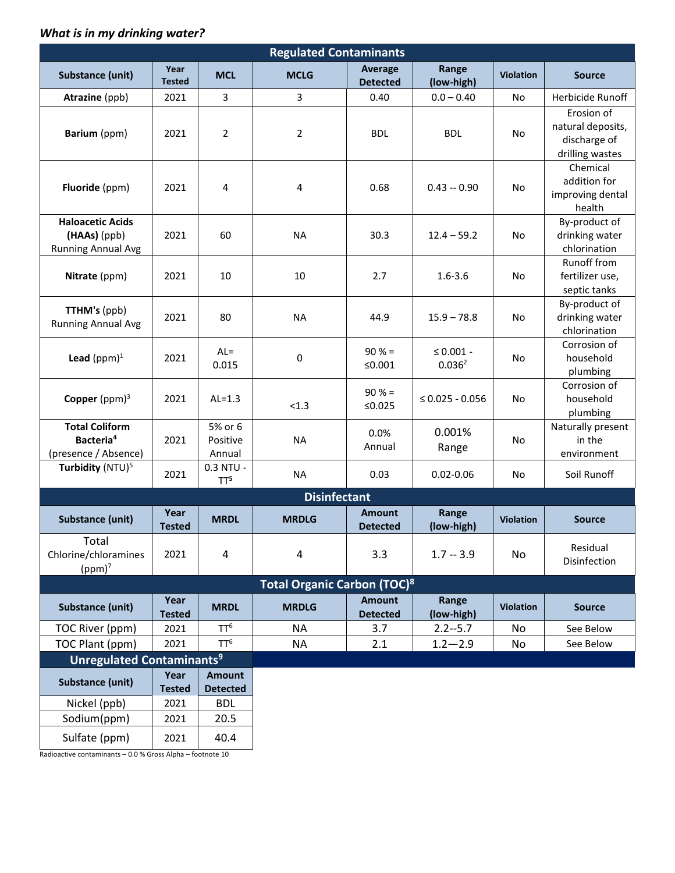## *What is in my drinking water?*

| <b>Regulated Contaminants</b>                                          |                       |                                  |              |                                  |                                      |                  |                                                                    |
|------------------------------------------------------------------------|-----------------------|----------------------------------|--------------|----------------------------------|--------------------------------------|------------------|--------------------------------------------------------------------|
| <b>Substance (unit)</b>                                                | Year<br><b>Tested</b> | <b>MCL</b>                       | <b>MCLG</b>  | Average<br><b>Detected</b>       | Range<br>(low-high)                  | <b>Violation</b> | <b>Source</b>                                                      |
| Atrazine (ppb)                                                         | 2021                  | 3                                | 3            | 0.40                             | $0.0 - 0.40$                         | No               | Herbicide Runoff                                                   |
| Barium (ppm)                                                           | 2021                  | $\overline{2}$                   | 2            | <b>BDL</b>                       | <b>BDL</b>                           | No               | Erosion of<br>natural deposits,<br>discharge of<br>drilling wastes |
| Fluoride (ppm)                                                         | 2021                  | $\overline{4}$                   | 4            | 0.68                             | $0.43 - 0.90$                        | No               | Chemical<br>addition for<br>improving dental<br>health             |
| <b>Haloacetic Acids</b><br>(HAAs) (ppb)<br><b>Running Annual Avg</b>   | 2021                  | 60                               | <b>NA</b>    | 30.3                             | $12.4 - 59.2$                        | No               | By-product of<br>drinking water<br>chlorination                    |
| Nitrate (ppm)                                                          | 2021                  | 10                               | 10           | 2.7                              | $1.6 - 3.6$                          | No               | Runoff from<br>fertilizer use,<br>septic tanks                     |
| <b>TTHM's (ppb)</b><br><b>Running Annual Avg</b>                       | 2021                  | 80                               | <b>NA</b>    | 44.9                             | $15.9 - 78.8$                        | No               | By-product of<br>drinking water<br>chlorination                    |
| Lead $(ppm)^1$                                                         | 2021                  | $AL =$<br>0.015                  | 0            | $90% =$<br>≤ $0.001$             | $\leq 0.001$ -<br>0.036 <sup>2</sup> | No               | Corrosion of<br>household<br>plumbing                              |
| Copper ( $ppm$ ) <sup>3</sup>                                          | 2021                  | $AL=1.3$                         | < 1.3        | $90% =$<br>≤0.025                | $\leq 0.025 - 0.056$                 | <b>No</b>        | Corrosion of<br>household<br>plumbing                              |
| <b>Total Coliform</b><br>Bacteria <sup>4</sup><br>(presence / Absence) | 2021                  | 5% or 6<br>Positive<br>Annual    | <b>NA</b>    | 0.0%<br>Annual                   | 0.001%<br>Range                      | No               | Naturally present<br>in the<br>environment                         |
| Turbidity (NTU) <sup>5</sup>                                           | 2021                  | 0.3 NTU -<br>TT <sup>5</sup>     | <b>NA</b>    | 0.03                             | $0.02 - 0.06$                        | No               | Soil Runoff                                                        |
| <b>Disinfectant</b>                                                    |                       |                                  |              |                                  |                                      |                  |                                                                    |
| <b>Substance (unit)</b>                                                | Year<br><b>Tested</b> | <b>MRDL</b>                      | <b>MRDLG</b> | <b>Amount</b><br><b>Detected</b> | Range<br>(low-high)                  | <b>Violation</b> | <b>Source</b>                                                      |
| Total<br>Chlorine/chloramines<br>$(ppm)^7$                             | 2021                  | 4                                | 4            | 3.3                              | $1.7 - 3.9$                          | No               | Residual<br>Disinfection                                           |
| <b>Total Organic Carbon (TOC)8</b>                                     |                       |                                  |              |                                  |                                      |                  |                                                                    |
| <b>Substance (unit)</b>                                                | Year<br><b>Tested</b> | <b>MRDL</b>                      | <b>MRDLG</b> | <b>Amount</b><br><b>Detected</b> | Range<br>(low-high)                  | <b>Violation</b> | <b>Source</b>                                                      |
| TOC River (ppm)                                                        | 2021                  | TT <sup>6</sup>                  | <b>NA</b>    | 3.7                              | $2.2 - 5.7$                          | No               | See Below                                                          |
| TOC Plant (ppm)                                                        | 2021                  | TT <sup>6</sup>                  | <b>NA</b>    | 2.1                              | $1.2 - 2.9$                          | No               | See Below                                                          |
| <b>Unregulated Contaminants<sup>9</sup></b>                            |                       |                                  |              |                                  |                                      |                  |                                                                    |
| <b>Substance (unit)</b>                                                | Year<br><b>Tested</b> | <b>Amount</b><br><b>Detected</b> |              |                                  |                                      |                  |                                                                    |
| Nickel (ppb)                                                           | 2021                  | <b>BDL</b>                       |              |                                  |                                      |                  |                                                                    |
| Sodium(ppm)                                                            | 2021                  | 20.5                             |              |                                  |                                      |                  |                                                                    |
| Sulfate (ppm)                                                          | 2021                  | 40.4                             |              |                                  |                                      |                  |                                                                    |

Radioactive contaminants – 0.0 % Gross Alpha – footnote 10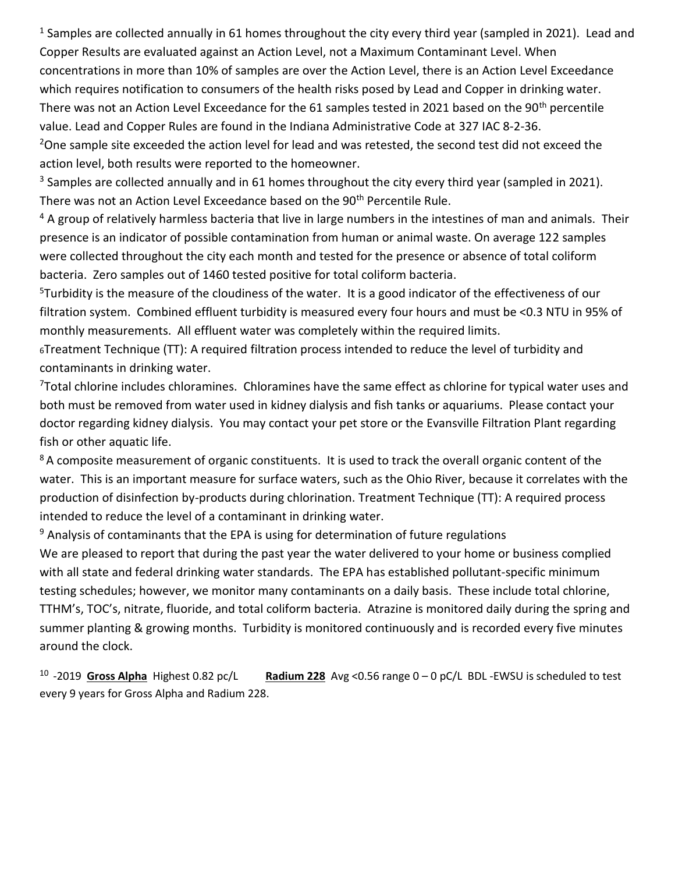$1$  Samples are collected annually in 61 homes throughout the city every third year (sampled in 2021). Lead and Copper Results are evaluated against an Action Level, not a Maximum Contaminant Level. When concentrations in more than 10% of samples are over the Action Level, there is an Action Level Exceedance which requires notification to consumers of the health risks posed by Lead and Copper in drinking water. There was not an Action Level Exceedance for the 61 samples tested in 2021 based on the 90<sup>th</sup> percentile value. Lead and Copper Rules are found in the Indiana Administrative Code at 327 IAC 8-2-36.

<sup>2</sup>One sample site exceeded the action level for lead and was retested, the second test did not exceed the action level, both results were reported to the homeowner.

 $3$  Samples are collected annually and in 61 homes throughout the city every third year (sampled in 2021). There was not an Action Level Exceedance based on the 90<sup>th</sup> Percentile Rule.

 $4$  A group of relatively harmless bacteria that live in large numbers in the intestines of man and animals. Their presence is an indicator of possible contamination from human or animal waste. On average 122 samples were collected throughout the city each month and tested for the presence or absence of total coliform bacteria. Zero samples out of 1460 tested positive for total coliform bacteria.

<sup>5</sup>Turbidity is the measure of the cloudiness of the water. It is a good indicator of the effectiveness of our filtration system. Combined effluent turbidity is measured every four hours and must be <0.3 NTU in 95% of monthly measurements. All effluent water was completely within the required limits.

<sup>6</sup>Treatment Technique (TT): A required filtration process intended to reduce the level of turbidity and contaminants in drinking water.

<sup>7</sup>Total chlorine includes chloramines. Chloramines have the same effect as chlorine for typical water uses and both must be removed from water used in kidney dialysis and fish tanks or aquariums. Please contact your doctor regarding kidney dialysis. You may contact your pet store or the Evansville Filtration Plant regarding fish or other aquatic life.

<sup>8</sup> A composite measurement of organic constituents. It is used to track the overall organic content of the water. This is an important measure for surface waters, such as the Ohio River, because it correlates with the production of disinfection by-products during chlorination. Treatment Technique (TT): A required process intended to reduce the level of a contaminant in drinking water.

<sup>9</sup> Analysis of contaminants that the EPA is using for determination of future regulations

We are pleased to report that during the past year the water delivered to your home or business complied with all state and federal drinking water standards. The EPA has established pollutant-specific minimum testing schedules; however, we monitor many contaminants on a daily basis. These include total chlorine, TTHM's, TOC's, nitrate, fluoride, and total coliform bacteria. Atrazine is monitored daily during the spring and summer planting & growing months. Turbidity is monitored continuously and is recorded every five minutes around the clock.

 $10 - 2019$  Gross Alpha Highest 0.82 pc/L Radium 228 Avg <0.56 range 0 – 0 pC/L BDL -EWSU is scheduled to test every 9 years for Gross Alpha and Radium 228.